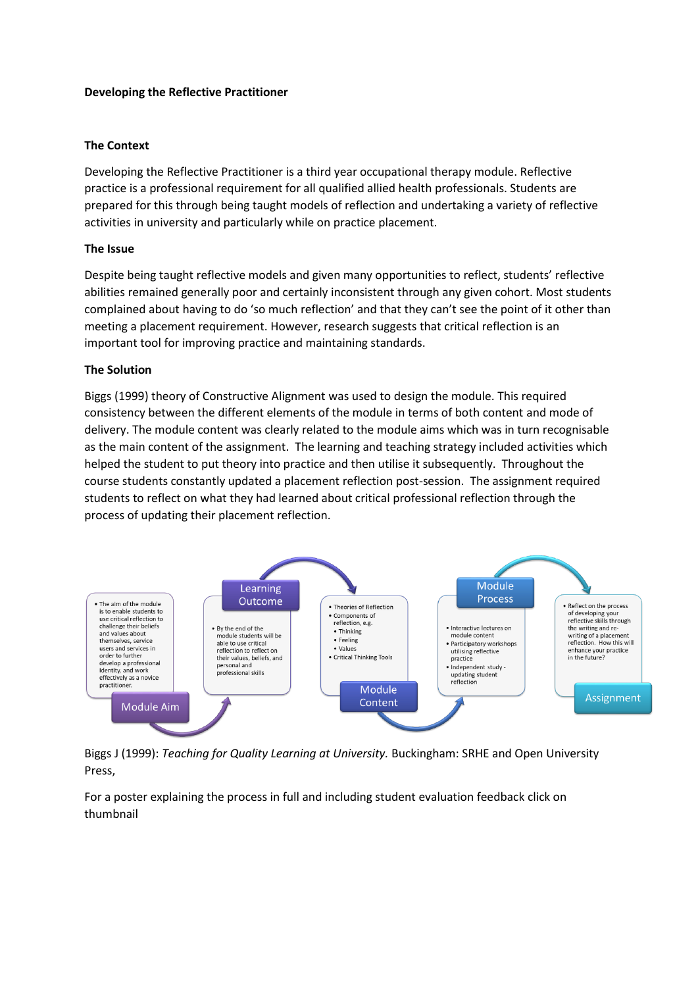## **Developing the Reflective Practitioner**

## **The Context**

Developing the Reflective Practitioner is a third year occupational therapy module. Reflective practice is a professional requirement for all qualified allied health professionals. Students are prepared for this through being taught models of reflection and undertaking a variety of reflective activities in university and particularly while on practice placement.

## **The Issue**

Despite being taught reflective models and given many opportunities to reflect, students' reflective abilities remained generally poor and certainly inconsistent through any given cohort. Most students complained about having to do 'so much reflection' and that they can't see the point of it other than meeting a placement requirement. However, research suggests that critical reflection is an important tool for improving practice and maintaining standards.

## **The Solution**

Biggs (1999) theory of Constructive Alignment was used to design the module. This required consistency between the different elements of the module in terms of both content and mode of delivery. The module content was clearly related to the module aims which was in turn recognisable as the main content of the assignment. The learning and teaching strategy included activities which helped the student to put theory into practice and then utilise it subsequently. Throughout the course students constantly updated a placement reflection post-session. The assignment required students to reflect on what they had learned about critical professional reflection through the process of updating their placement reflection.



Biggs J (1999): *Teaching for Quality Learning at University.* Buckingham: SRHE and Open University Press,

For a poster explaining the process in full and including student evaluation feedback click on thumbnail